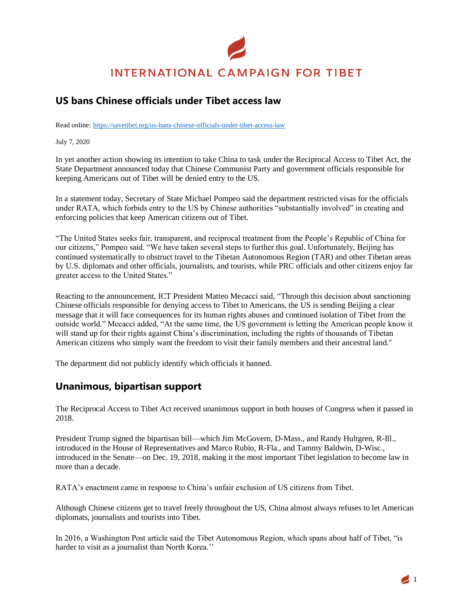# **INTERNATIONAL CAMPAIGN FOR TIBET**

# **US bans Chinese officials under Tibet access law**

Read online: [https://savetibet.org/us-bans-chinese-officials-under-tibet-access-law](https://savetibet.org/tibetan-prayer-flags-forced-down-by-chinese-authorities)

July 7, 2020

In yet another action showing its intention to take China to task under the Reciprocal Access to Tibet Act, the State Department announced today that Chinese Communist Party and government officials responsible for keeping Americans out of Tibet will be denied entry to the US.

In a statement today, Secretary of State Michael Pompeo said the department restricted visas for the officials under RATA, which forbids entry to the US by Chinese authorities "substantially involved" in creating and enforcing policies that keep American citizens out of Tibet.

"The United States seeks fair, transparent, and reciprocal treatment from the People's Republic of China for our citizens," Pompeo said. "We have taken several steps to further this goal. Unfortunately, Beijing has continued systematically to obstruct travel to the Tibetan Autonomous Region (TAR) and other Tibetan areas by U.S. diplomats and other officials, journalists, and tourists, while PRC officials and other citizens enjoy far greater access to the United States."

Reacting to the announcement, ICT President Matteo Mecacci said, "Through this decision about sanctioning Chinese officials responsible for denying access to Tibet to Americans, the US is sending Beijing a clear message that it will face consequences for its human rights abuses and continued isolation of Tibet from the outside world." Mecacci added, "At the same time, the US government is letting the American people know it will stand up for their rights against China's discrimination, including the rights of thousands of Tibetan American citizens who simply want the freedom to visit their family members and their ancestral land."

The department did not publicly identify which officials it banned.

## **Unanimous, bipartisan support**

The Reciprocal Access to Tibet Act received unanimous support in both houses of Congress when it passed in 2018.

President Trump signed the bipartisan bill—which Jim McGovern, D-Mass., and Randy Hultgren, R-Ill., introduced in the House of Representatives and Marco Rubio, R-Fla., and Tammy Baldwin, D-Wisc., introduced in the Senate—on Dec. 19, 2018, making it the most important Tibet legislation to become law in more than a decade.

RATA's enactment came in response to China's unfair exclusion of US citizens from Tibet.

Although Chinese citizens get to travel freely throughout the US, China almost always refuses to let American diplomats, journalists and tourists into Tibet.

In 2016, a Washington Post article said the Tibet Autonomous Region, which spans about half of Tibet, "is harder to visit as a journalist than North Korea."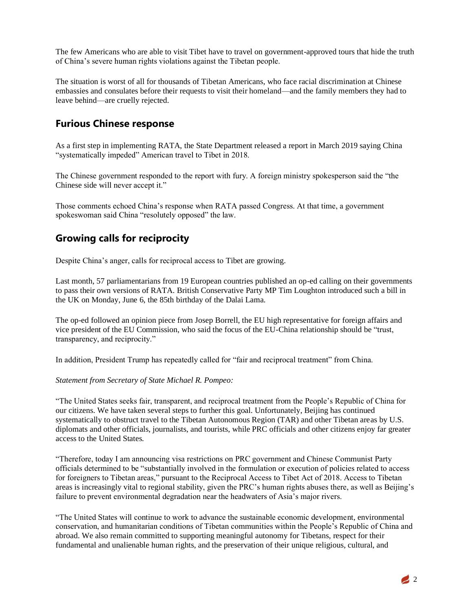The few Americans who are able to visit Tibet have to travel on government-approved tours that hide the truth of China's severe human rights violations against the Tibetan people.

The situation is worst of all for thousands of Tibetan Americans, who face racial discrimination at Chinese embassies and consulates before their requests to visit their homeland—and the family members they had to leave behind—are cruelly rejected.

### **Furious Chinese response**

As a first step in implementing RATA, the State Department released a report in March 2019 saying China "systematically impeded" American travel to Tibet in 2018.

The Chinese government responded to the report with fury. A foreign ministry spokesperson said the "the Chinese side will never accept it."

Those comments echoed China's response when RATA passed Congress. At that time, a government spokeswoman said China "resolutely opposed" the law.

## **Growing calls for reciprocity**

Despite China's anger, calls for reciprocal access to Tibet are growing.

Last month, 57 parliamentarians from 19 European countries published an op-ed calling on their governments to pass their own versions of RATA. British Conservative Party MP Tim Loughton introduced such a bill in the UK on Monday, June 6, the 85th birthday of the Dalai Lama.

The op-ed followed an opinion piece from Josep Borrell, the EU high representative for foreign affairs and vice president of the EU Commission, who said the focus of the EU-China relationship should be "trust, transparency, and reciprocity."

In addition, President Trump has repeatedly called for "fair and reciprocal treatment" from China.

#### *Statement from Secretary of State Michael R. Pompeo:*

"The United States seeks fair, transparent, and reciprocal treatment from the People's Republic of China for our citizens. We have taken several steps to further this goal. Unfortunately, Beijing has continued systematically to obstruct travel to the Tibetan Autonomous Region (TAR) and other Tibetan areas by U.S. diplomats and other officials, journalists, and tourists, while PRC officials and other citizens enjoy far greater access to the United States.

"Therefore, today I am announcing visa restrictions on PRC government and Chinese Communist Party officials determined to be "substantially involved in the formulation or execution of policies related to access for foreigners to Tibetan areas," pursuant to the Reciprocal Access to Tibet Act of 2018. Access to Tibetan areas is increasingly vital to regional stability, given the PRC's human rights abuses there, as well as Beijing's failure to prevent environmental degradation near the headwaters of Asia's major rivers.

"The United States will continue to work to advance the sustainable economic development, environmental conservation, and humanitarian conditions of Tibetan communities within the People's Republic of China and abroad. We also remain committed to supporting meaningful autonomy for Tibetans, respect for their fundamental and unalienable human rights, and the preservation of their unique religious, cultural, and